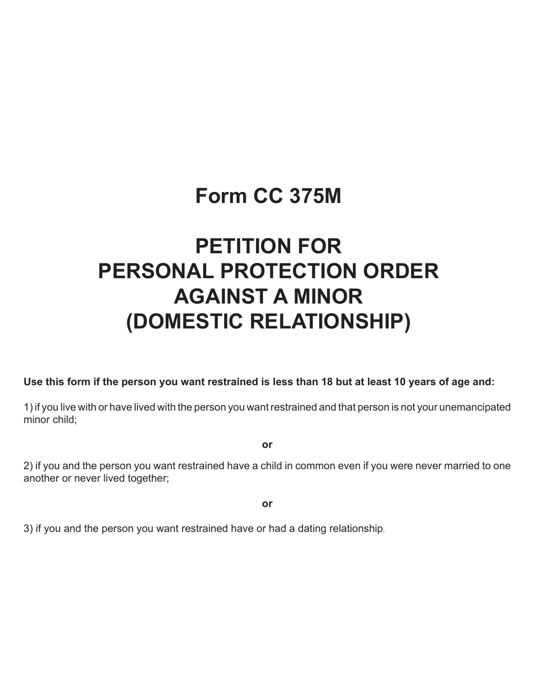## **Form CC 375M**

# **PETITION FOR PERSONAL PROTECTION ORDER AGAINST A MINOR (DOMESTIC RELATIONSHIP)**

### **Use this form if the person you want restrained is less than 18 but at least 10 years of age and:**

1) if you live with or have lived with the person you want restrained and that person is not your unemancipated minor child;

**or**

2) if you and the person you want restrained have a child in common even if you were never married to one another or never lived together;

**or**

3) if you and the person you want restrained have or had a dating relationship.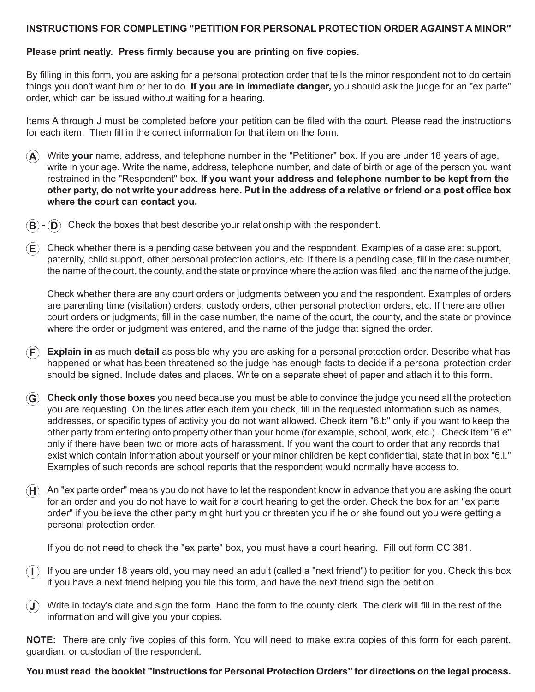#### **INSTRUCTIONS FOR COMPLETING "PETITION FOR PERSONAL PROTECTION ORDER AGAINST A MINOR"**

#### **Please print neatly. Press firmly because you are printing on five copies.**

By filling in this form, you are asking for a personal protection order that tells the minor respondent not to do certain things you don't want him or her to do. **If you are in immediate danger,** you should ask the judge for an "ex parte" order, which can be issued without waiting for a hearing.

Items A through J must be completed before your petition can be filed with the court. Please read the instructions for each item. Then fill in the correct information for that item on the form.

- **A** Write **your** name, address, and telephone number in the "Petitioner" box. If you are under 18 years of age, write in your age. Write the name, address, telephone number, and date of birth or age of the person you want restrained in the "Respondent" box. **If you want your address and telephone number to be kept from the other party, do not write your address here. Put in the address of a relative or friend or a post office box where the court can contact you.**
- $\mathbf{B}$   $\mathbf{D}$  Check the boxes that best describe your relationship with the respondent.
- **E** Check whether there is a pending case between you and the respondent. Examples of a case are: support, paternity, child support, other personal protection actions, etc. If there is a pending case, fill in the case number, the name of the court, the county, and the state or province where the action was filed, and the name of the judge.

Check whether there are any court orders or judgments between you and the respondent. Examples of orders are parenting time (visitation) orders, custody orders, other personal protection orders, etc. If there are other court orders or judgments, fill in the case number, the name of the court, the county, and the state or province where the order or judgment was entered, and the name of the judge that signed the order.

- **F Explain in** as much **detail** as possible why you are asking for a personal protection order. Describe what has happened or what has been threatened so the judge has enough facts to decide if a personal protection order should be signed. Include dates and places. Write on a separate sheet of paper and attach it to this form.
- **G Check only those boxes** you need because you must be able to convince the judge you need all the protection you are requesting. On the lines after each item you check, fill in the requested information such as names, addresses, or specific types of activity you do not want allowed. Check item "6.b" only if you want to keep the other party from entering onto property other than your home (for example, school, work, etc.). Check item "6.e" only if there have been two or more acts of harassment. If you want the court to order that any records that exist which contain information about yourself or your minor children be kept confidential, state that in box "6.l." Examples of such records are school reports that the respondent would normally have access to.
- $H$  An "ex parte order" means you do not have to let the respondent know in advance that you are asking the court for an order and you do not have to wait for a court hearing to get the order. Check the box for an "ex parte order" if you believe the other party might hurt you or threaten you if he or she found out you were getting a personal protection order.

If you do not need to check the "ex parte" box, you must have a court hearing. Fill out form CC 381.

**I** If you are under 18 years old, you may need an adult (called a "next friend") to petition for you. Check this box if you have a next friend helping you file this form, and have the next friend sign the petition.

**J** Write in today's date and sign the form. Hand the form to the county clerk. The clerk will fill in the rest of the information and will give you your copies.

**NOTE:** There are only five copies of this form. You will need to make extra copies of this form for each parent, guardian, or custodian of the respondent.

#### **You must read the booklet "Instructions for Personal Protection Orders" for directions on the legal process.**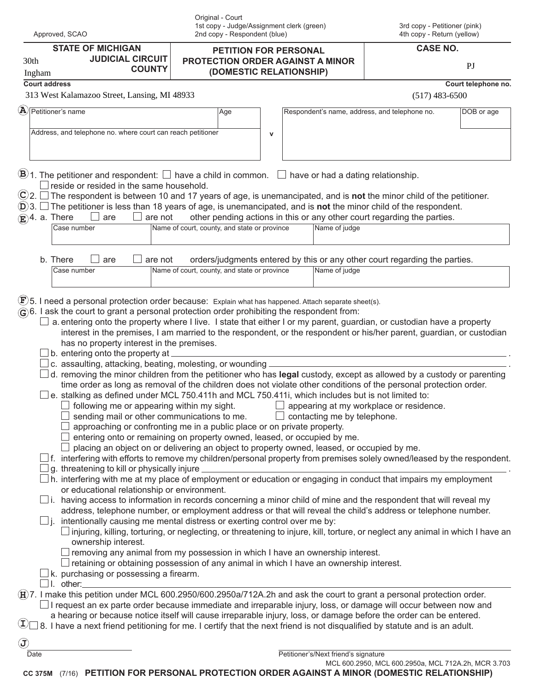|                                                                                                                                                                                                                                                                                                                                                                                                                                                                                                                                                                                                                                                                                                                                                                                                                                                                                                                                                                                                                                                                                                                                                                                                                                                                                                                                                        | Original - Court<br>1st copy - Judge/Assignment clerk (green) |                                                                            | 3rd copy - Petitioner (pink)                        |                     |
|--------------------------------------------------------------------------------------------------------------------------------------------------------------------------------------------------------------------------------------------------------------------------------------------------------------------------------------------------------------------------------------------------------------------------------------------------------------------------------------------------------------------------------------------------------------------------------------------------------------------------------------------------------------------------------------------------------------------------------------------------------------------------------------------------------------------------------------------------------------------------------------------------------------------------------------------------------------------------------------------------------------------------------------------------------------------------------------------------------------------------------------------------------------------------------------------------------------------------------------------------------------------------------------------------------------------------------------------------------|---------------------------------------------------------------|----------------------------------------------------------------------------|-----------------------------------------------------|---------------------|
| Approved, SCAO                                                                                                                                                                                                                                                                                                                                                                                                                                                                                                                                                                                                                                                                                                                                                                                                                                                                                                                                                                                                                                                                                                                                                                                                                                                                                                                                         | 2nd copy - Respondent (blue)                                  |                                                                            | 4th copy - Return (yellow)                          |                     |
| <b>STATE OF MICHIGAN</b>                                                                                                                                                                                                                                                                                                                                                                                                                                                                                                                                                                                                                                                                                                                                                                                                                                                                                                                                                                                                                                                                                                                                                                                                                                                                                                                               | PETITION FOR PERSONAL                                         |                                                                            | <b>CASE NO.</b>                                     |                     |
| <b>JUDICIAL CIRCUIT</b><br>30th<br><b>COUNTY</b>                                                                                                                                                                                                                                                                                                                                                                                                                                                                                                                                                                                                                                                                                                                                                                                                                                                                                                                                                                                                                                                                                                                                                                                                                                                                                                       | <b>PROTECTION ORDER AGAINST A MINOR</b>                       |                                                                            |                                                     | PI                  |
| Ingham                                                                                                                                                                                                                                                                                                                                                                                                                                                                                                                                                                                                                                                                                                                                                                                                                                                                                                                                                                                                                                                                                                                                                                                                                                                                                                                                                 | (DOMESTIC RELATIONSHIP)                                       |                                                                            |                                                     |                     |
| <b>Court address</b><br>313 West Kalamazoo Street, Lansing, MI 48933                                                                                                                                                                                                                                                                                                                                                                                                                                                                                                                                                                                                                                                                                                                                                                                                                                                                                                                                                                                                                                                                                                                                                                                                                                                                                   |                                                               |                                                                            | $(517)$ 483-6500                                    | Court telephone no. |
| $\mathbf{A}$ Petitioner's name                                                                                                                                                                                                                                                                                                                                                                                                                                                                                                                                                                                                                                                                                                                                                                                                                                                                                                                                                                                                                                                                                                                                                                                                                                                                                                                         |                                                               |                                                                            |                                                     |                     |
|                                                                                                                                                                                                                                                                                                                                                                                                                                                                                                                                                                                                                                                                                                                                                                                                                                                                                                                                                                                                                                                                                                                                                                                                                                                                                                                                                        | Age                                                           | Respondent's name, address, and telephone no.                              |                                                     | DOB or age          |
| Address, and telephone no. where court can reach petitioner                                                                                                                                                                                                                                                                                                                                                                                                                                                                                                                                                                                                                                                                                                                                                                                                                                                                                                                                                                                                                                                                                                                                                                                                                                                                                            | $\mathsf{v}$                                                  |                                                                            |                                                     |                     |
| $\mathbf{B}$ 1. The petitioner and respondent: $\Box$ have a child in common. $\Box$ have or had a dating relationship.<br>$\perp$ reside or resided in the same household.<br>$\mathbb{C}$ 2. $\Box$ The respondent is between 10 and 17 years of age, is unemancipated, and is not the minor child of the petitioner.<br>$(D)$ 3. $\Box$ The petitioner is less than 18 years of age, is unemancipated, and is not the minor child of the respondent.                                                                                                                                                                                                                                                                                                                                                                                                                                                                                                                                                                                                                                                                                                                                                                                                                                                                                                |                                                               |                                                                            |                                                     |                     |
| $\mathbf{E}$ )4. a. There<br>are not<br>are<br>$\mathbf{I}$<br>$\perp$                                                                                                                                                                                                                                                                                                                                                                                                                                                                                                                                                                                                                                                                                                                                                                                                                                                                                                                                                                                                                                                                                                                                                                                                                                                                                 |                                                               | other pending actions in this or any other court regarding the parties.    |                                                     |                     |
| Case number                                                                                                                                                                                                                                                                                                                                                                                                                                                                                                                                                                                                                                                                                                                                                                                                                                                                                                                                                                                                                                                                                                                                                                                                                                                                                                                                            | Name of court, county, and state or province                  | Name of judge                                                              |                                                     |                     |
|                                                                                                                                                                                                                                                                                                                                                                                                                                                                                                                                                                                                                                                                                                                                                                                                                                                                                                                                                                                                                                                                                                                                                                                                                                                                                                                                                        |                                                               |                                                                            |                                                     |                     |
| b. There<br>are<br>are not                                                                                                                                                                                                                                                                                                                                                                                                                                                                                                                                                                                                                                                                                                                                                                                                                                                                                                                                                                                                                                                                                                                                                                                                                                                                                                                             |                                                               | orders/judgments entered by this or any other court regarding the parties. |                                                     |                     |
| Case number                                                                                                                                                                                                                                                                                                                                                                                                                                                                                                                                                                                                                                                                                                                                                                                                                                                                                                                                                                                                                                                                                                                                                                                                                                                                                                                                            | Name of court, county, and state or province                  | Name of judge                                                              |                                                     |                     |
| a. entering onto the property where I live. I state that either I or my parent, guardian, or custodian have a property<br>interest in the premises, I am married to the respondent, or the respondent or his/her parent, guardian, or custodian<br>has no property interest in the premises.<br>b. entering onto the property at _<br>c. assaulting, attacking, beating, molesting, or wounding.<br>$\perp$ d. removing the minor children from the petitioner who has legal custody, except as allowed by a custody or parenting<br>time order as long as removal of the children does not violate other conditions of the personal protection order.<br>e. stalking as defined under MCL 750.411h and MCL 750.411i, which includes but is not limited to:<br>$\Box$ following me or appearing within my sight. $\Box$ appearing at my workplace or residence.<br>sending mail or other communications to me.<br>approaching or confronting me in a public place or on private property.<br>entering onto or remaining on property owned, leased, or occupied by me.<br>placing an object on or delivering an object to property owned, leased, or occupied by me.<br>$\perp$ f. interfering with efforts to remove my children/personal property from premises solely owned/leased by the respondent.<br>g. threatening to kill or physically injure |                                                               | $\Box$ contacting me by telephone.                                         |                                                     |                     |
| $\perp$ h. interfering with me at my place of employment or education or engaging in conduct that impairs my employment<br>or educational relationship or environment.<br>$\Box$ i. having access to information in records concerning a minor child of mine and the respondent that will reveal my<br>address, telephone number, or employment address or that will reveal the child's address or telephone number.<br>intentionally causing me mental distress or exerting control over me by:<br>$\Box$ i.<br>$\Box$ injuring, killing, torturing, or neglecting, or threatening to injure, kill, torture, or neglect any animal in which I have an<br>ownership interest.<br>$\Box$ removing any animal from my possession in which I have an ownership interest.<br>$\Box$ retaining or obtaining possession of any animal in which I have an ownership interest.<br>$\perp$ k. purchasing or possessing a firearm.                                                                                                                                                                                                                                                                                                                                                                                                                               |                                                               |                                                                            |                                                     |                     |
| $\Box$ I. other:<br>$\overline{H}$ 7. I make this petition under MCL 600.2950/600.2950a/712A.2h and ask the court to grant a personal protection order.<br>a hearing or because notice itself will cause irreparable injury, loss, or damage before the order can be entered.<br>$\mathbb{U}$ 8. I have a next friend petitioning for me. I certify that the next friend is not disqualified by statute and is an adult.<br>$\left( \widehat{\mathbf{J}}\right)$                                                                                                                                                                                                                                                                                                                                                                                                                                                                                                                                                                                                                                                                                                                                                                                                                                                                                       |                                                               |                                                                            |                                                     |                     |
| Date                                                                                                                                                                                                                                                                                                                                                                                                                                                                                                                                                                                                                                                                                                                                                                                                                                                                                                                                                                                                                                                                                                                                                                                                                                                                                                                                                   |                                                               | Petitioner's/Next friend's signature                                       | MCL 600.2950, MCL 600.2950a, MCL 712A.2h, MCR 3.703 |                     |

**CC 375M** (7/16) **PETITION FOR PERSONAL PROTECTION ORDER AGAINST A MINOR (DOMESTIC RELATIONSHIP)**